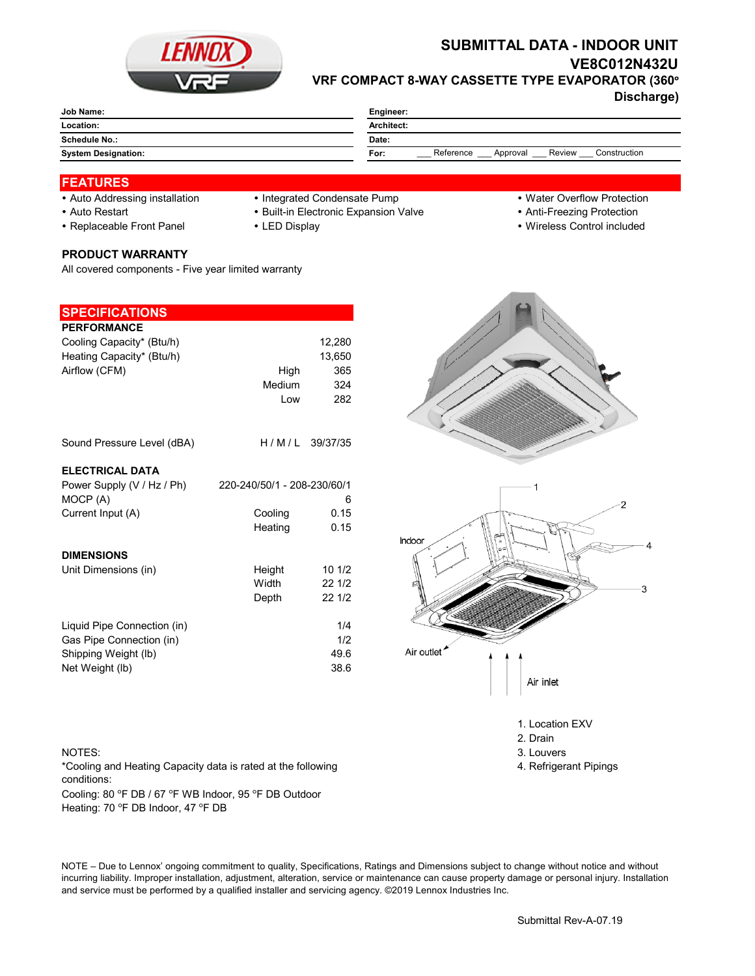

# **SUBMITTAL DATA - INDOOR UNIT VE8C012N432U VRF COMPACT 8-WAY CASSETTE TYPE EVAPORATOR (360°**

**Discharge)**

| Job Name:                  | Engineer:                                               |  |  |
|----------------------------|---------------------------------------------------------|--|--|
| Location:                  | Architect:                                              |  |  |
| Schedule No.:              | Date:                                                   |  |  |
| <b>System Designation:</b> | Reference<br>Review<br>Construction<br>For:<br>Approval |  |  |
|                            |                                                         |  |  |

### **FEATURES**

- Auto Addressing installation Integrated Condensate Pump Water Overflow Protection
	-
- Auto Restart **Built-in Electronic Expansion Valve Anti-Freezing Protection** Anti-Freezing Protection
- Replaceable Front Panel LED Display Wireless Control included

# **PRODUCT WARRANTY**

All covered components - Five year limited warranty

| <b>SPECIFICATIONS</b>       |                             |        |
|-----------------------------|-----------------------------|--------|
| <b>PERFORMANCE</b>          |                             |        |
| Cooling Capacity* (Btu/h)   |                             | 12,280 |
| Heating Capacity* (Btu/h)   |                             | 13,650 |
| Airflow (CFM)               | High                        | 365    |
|                             | Medium                      | 324    |
|                             | Low                         | 282    |
| Sound Pressure Level (dBA)  | H/M/L 39/37/35              |        |
|                             |                             |        |
| <b>ELECTRICAL DATA</b>      |                             |        |
| Power Supply (V / Hz / Ph)  | 220-240/50/1 - 208-230/60/1 |        |
| MOCP (A)                    |                             | 6      |
| Current Input (A)           | Cooling                     | 0.15   |
|                             | Heating                     | 0.15   |
| <b>DIMENSIONS</b>           |                             |        |
| Unit Dimensions (in)        | Height                      | 101/2  |
|                             | Width                       | 221/2  |
|                             | Depth                       | 22 1/2 |
| Liquid Pipe Connection (in) |                             | 1/4    |
| Gas Pipe Connection (in)    |                             | 1/2    |
| Shipping Weight (lb)        |                             | 49.6   |
| Net Weight (lb)             |                             | 38.6   |

Cooling: 80 °F DB / 67 °F WB Indoor, 95 °F DB Outdoor Heating: 70 °F DB Indoor, 47 °F DB \*Cooling and Heating Capacity data is rated at the following conditions:

NOTE – Due to Lennox' ongoing commitment to quality, Specifications, Ratings and Dimensions subject to change without notice and without incurring liability. Improper installation, adjustment, alteration, service or maintenance can cause property damage or personal injury. Installation and service must be performed by a qualified installer and servicing agency. ©2019 Lennox Industries Inc.



1. Location EXV

- 2. Drain
- NOTES: 3. Louvers 3. Louvers 3. Louvers 3. Louvers 3. Louvers 3. Louvers 3. Louvers 3. Louvers 3. Louvers 3. Louvers 3. Louvers 3. Louvers 3. Louvers 3. Louvers 3. Louvers 3. Louvers 3. Louvers 3. Louvers 3. Louvers 3. Lou
	- 4. Refrigerant Pipings